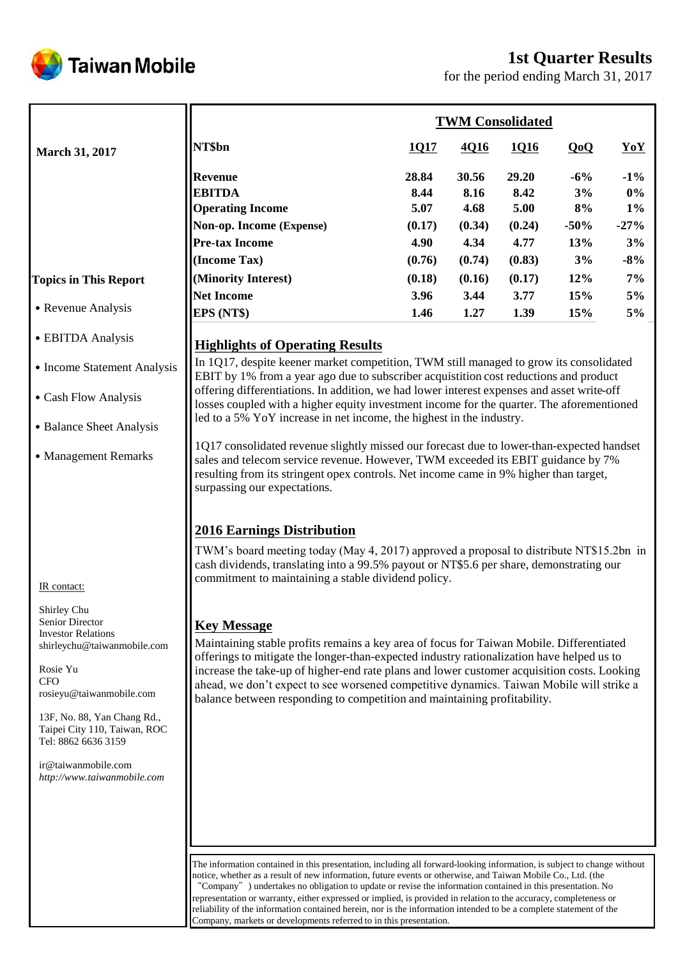

# **1st Quarter Results**

for the period ending March 31, 2017

|                                                                                                                                                                                                                                                 |                                                                                                                                                                                                                                                                                                                                                                                                                                                                                                                                                                                                                                                                                                                                                                                                                                                                                                                                                                                                                                                                                |                                                   |                                                   | <b>TWM Consolidated</b>                           |                                           |                                                   |
|-------------------------------------------------------------------------------------------------------------------------------------------------------------------------------------------------------------------------------------------------|--------------------------------------------------------------------------------------------------------------------------------------------------------------------------------------------------------------------------------------------------------------------------------------------------------------------------------------------------------------------------------------------------------------------------------------------------------------------------------------------------------------------------------------------------------------------------------------------------------------------------------------------------------------------------------------------------------------------------------------------------------------------------------------------------------------------------------------------------------------------------------------------------------------------------------------------------------------------------------------------------------------------------------------------------------------------------------|---------------------------------------------------|---------------------------------------------------|---------------------------------------------------|-------------------------------------------|---------------------------------------------------|
| <b>March 31, 2017</b>                                                                                                                                                                                                                           | NT\$bn                                                                                                                                                                                                                                                                                                                                                                                                                                                                                                                                                                                                                                                                                                                                                                                                                                                                                                                                                                                                                                                                         | <u>1017</u>                                       | 4Q16                                              | 1016                                              | QoQ                                       | YoY                                               |
|                                                                                                                                                                                                                                                 | <b>Revenue</b><br><b>EBITDA</b><br><b>Operating Income</b><br>Non-op. Income (Expense)<br><b>Pre-tax Income</b><br>(Income Tax)                                                                                                                                                                                                                                                                                                                                                                                                                                                                                                                                                                                                                                                                                                                                                                                                                                                                                                                                                | 28.84<br>8.44<br>5.07<br>(0.17)<br>4.90<br>(0.76) | 30.56<br>8.16<br>4.68<br>(0.34)<br>4.34<br>(0.74) | 29.20<br>8.42<br>5.00<br>(0.24)<br>4.77<br>(0.83) | $-6\%$<br>3%<br>8%<br>$-50%$<br>13%<br>3% | $-1\%$<br>$0\%$<br>$1\%$<br>$-27%$<br>3%<br>$-8%$ |
| <b>Topics in This Report</b>                                                                                                                                                                                                                    | (Minority Interest)                                                                                                                                                                                                                                                                                                                                                                                                                                                                                                                                                                                                                                                                                                                                                                                                                                                                                                                                                                                                                                                            | (0.18)                                            | (0.16)                                            | (0.17)                                            | 12%                                       | $7\%$                                             |
|                                                                                                                                                                                                                                                 | <b>Net Income</b>                                                                                                                                                                                                                                                                                                                                                                                                                                                                                                                                                                                                                                                                                                                                                                                                                                                                                                                                                                                                                                                              | 3.96                                              | 3.44                                              | 3.77                                              | 15%                                       | 5%                                                |
| • Revenue Analysis                                                                                                                                                                                                                              | EPS (NT\$)                                                                                                                                                                                                                                                                                                                                                                                                                                                                                                                                                                                                                                                                                                                                                                                                                                                                                                                                                                                                                                                                     | 1.46                                              | 1.27                                              | 1.39                                              | 15%                                       | 5%                                                |
| • EBITDA Analysis                                                                                                                                                                                                                               | <b>Highlights of Operating Results</b>                                                                                                                                                                                                                                                                                                                                                                                                                                                                                                                                                                                                                                                                                                                                                                                                                                                                                                                                                                                                                                         |                                                   |                                                   |                                                   |                                           |                                                   |
| • Income Statement Analysis                                                                                                                                                                                                                     | In 1Q17, despite keener market competition, TWM still managed to grow its consolidated<br>EBIT by 1% from a year ago due to subscriber acquistition cost reductions and product                                                                                                                                                                                                                                                                                                                                                                                                                                                                                                                                                                                                                                                                                                                                                                                                                                                                                                |                                                   |                                                   |                                                   |                                           |                                                   |
| • Cash Flow Analysis                                                                                                                                                                                                                            | offering differentiations. In addition, we had lower interest expenses and asset write-off<br>losses coupled with a higher equity investment income for the quarter. The aforementioned                                                                                                                                                                                                                                                                                                                                                                                                                                                                                                                                                                                                                                                                                                                                                                                                                                                                                        |                                                   |                                                   |                                                   |                                           |                                                   |
| • Balance Sheet Analysis                                                                                                                                                                                                                        | led to a 5% YoY increase in net income, the highest in the industry.                                                                                                                                                                                                                                                                                                                                                                                                                                                                                                                                                                                                                                                                                                                                                                                                                                                                                                                                                                                                           |                                                   |                                                   |                                                   |                                           |                                                   |
| • Management Remarks<br>IR contact:<br>Shirley Chu<br>Senior Director<br><b>Investor Relations</b><br>shirleychu@taiwanmobile.com<br>Rosie Yu<br>CFO<br>rosieyu@taiwanmobile.com<br>13F, No. 88, Yan Chang Rd.,<br>Taipei City 110, Taiwan, ROC | 1Q17 consolidated revenue slightly missed our forecast due to lower-than-expected handset<br>sales and telecom service revenue. However, TWM exceeded its EBIT guidance by 7%<br>resulting from its stringent opex controls. Net income came in 9% higher than target,<br>surpassing our expectations.<br><b>2016 Earnings Distribution</b><br>TWM's board meeting today (May 4, 2017) approved a proposal to distribute NT\$15.2bn in<br>cash dividends, translating into a 99.5% payout or NT\$5.6 per share, demonstrating our<br>commitment to maintaining a stable dividend policy.<br><b>Key Message</b><br>Maintaining stable profits remains a key area of focus for Taiwan Mobile. Differentiated<br>offerings to mitigate the longer-than-expected industry rationalization have helped us to<br>increase the take-up of higher-end rate plans and lower customer acquisition costs. Looking<br>ahead, we don't expect to see worsened competitive dynamics. Taiwan Mobile will strike a<br>balance between responding to competition and maintaining profitability. |                                                   |                                                   |                                                   |                                           |                                                   |
| Tel: 8862 6636 3159<br>ir@taiwanmobile.com<br>http://www.taiwanmobile.com                                                                                                                                                                       | The information contained in this presentation, including all forward-looking information, is subject to change without<br>notice, whether as a result of new information, future events or otherwise, and Taiwan Mobile Co., Ltd. (the<br>"Company" ) undertakes no obligation to update or revise the information contained in this presentation. No<br>representation or warranty, either expressed or implied, is provided in relation to the accuracy, completeness or                                                                                                                                                                                                                                                                                                                                                                                                                                                                                                                                                                                                    |                                                   |                                                   |                                                   |                                           |                                                   |

reliability of the information contained herein, nor is the information intended to be a complete statement of the

Company, markets or developments referred to in this presentation.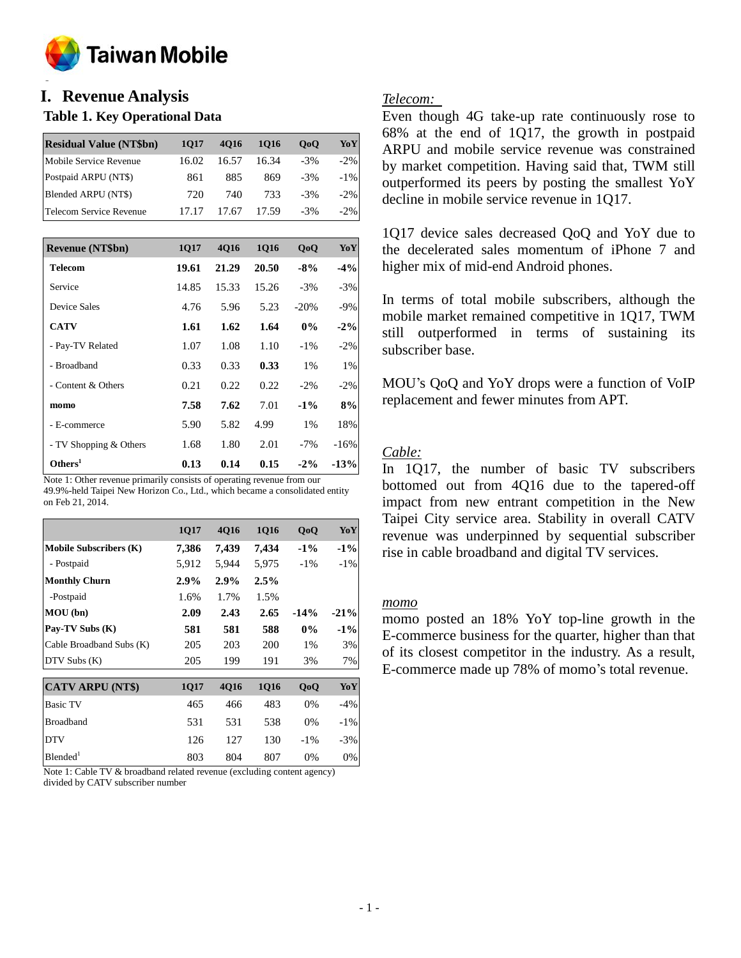

### **o I. Revenue Analysis**

# **Table 1. Key Operational Data**

| <b>Residual Value (NT\$bn)</b> | 1017  | 4016  | 1016  | 0 <sub>0</sub> | YoY     |
|--------------------------------|-------|-------|-------|----------------|---------|
| Mobile Service Revenue         | 16.02 | 16.57 | 16.34 | $-3\%$         | $-2\%$  |
| Postpaid ARPU (NT\$)           | 861   | 885   | 869   | $-3\%$         | $-1\%$  |
| Blended ARPU (NT\$)            | 720   | 740   | 733   | $-3\%$         | $-2\%$  |
| Telecom Service Revenue        |       | 17.67 | 17.59 | $-3\%$         | $-2.96$ |

| <b>Revenue (NT\$bn)</b> | 1Q17  | 4Q16  | <b>1Q16</b> | QoQ    | YoY    |
|-------------------------|-------|-------|-------------|--------|--------|
| <b>Telecom</b>          | 19.61 | 21.29 | 20.50       | $-8%$  | $-4\%$ |
| Service                 | 14.85 | 15.33 | 15.26       | $-3%$  | $-3%$  |
| <b>Device Sales</b>     | 4.76  | 5.96  | 5.23        | $-20%$ | $-9\%$ |
| <b>CATV</b>             | 1.61  | 1.62  | 1.64        | $0\%$  | $-2\%$ |
| - Pay-TV Related        | 1.07  | 1.08  | 1.10        | $-1\%$ | $-2\%$ |
| - Broadband             | 0.33  | 0.33  | 0.33        | $1\%$  | $1\%$  |
| - Content & Others      | 0.21  | 0.22  | 0.22        | $-2\%$ | $-2\%$ |
| momo                    | 7.58  | 7.62  | 7.01        | $-1\%$ | 8%     |
| - E-commerce            | 5.90  | 5.82  | 4.99        | $1\%$  | 18%    |
| - TV Shopping & Others  | 1.68  | 1.80  | 2.01        | $-7\%$ | $-16%$ |
| Others <sup>1</sup>     | 0.13  | 0.14  | 0.15        | $-2\%$ | $-13%$ |

Note 1: Other revenue primarily consists of operating revenue from our 49.9%-held Taipei New Horizon Co., Ltd., which became a consolidated entity on Feb 21, 2014.

|                               | 1Q17    | 4Q16  | <b>1Q16</b> | QoQ    | YoY    |
|-------------------------------|---------|-------|-------------|--------|--------|
| <b>Mobile Subscribers (K)</b> | 7,386   | 7,439 | 7,434       | $-1\%$ | $-1\%$ |
| - Postpaid                    | 5,912   | 5,944 | 5,975       | $-1\%$ | $-1\%$ |
| <b>Monthly Churn</b>          | $2.9\%$ | 2.9%  | 2.5%        |        |        |
| -Postpaid                     | 1.6%    | 1.7%  | 1.5%        |        |        |
| MOU (bn)                      | 2.09    | 2.43  | 2.65        | $-14%$ | $-21%$ |
| Pay-TV Subs (K)               | 581     | 581   | 588         | $0\%$  | $-1\%$ |
| Cable Broadband Subs (K)      | 205     | 203   | 200         | 1%     | 3%     |
| $DTV$ Subs $(K)$              | 205     | 199   | 191         | 3%     | 7%     |
|                               |         |       |             |        |        |
| <b>CATV ARPU (NT\$)</b>       | 1Q17    | 4Q16  | <b>1Q16</b> | QoQ    | YoY    |
| <b>Basic TV</b>               | 465     | 466   | 483         | 0%     | $-4%$  |
| <b>Broadband</b>              | 531     | 531   | 538         | 0%     | $-1\%$ |
| <b>DTV</b>                    | 126     | 127   | 130         | $-1\%$ | $-3%$  |
| Blended <sup>1</sup>          | 803     | 804   | 807         | 0%     | 0%     |

Note 1: Cable TV & broadband related revenue (excluding content agency) divided by CATV subscriber number

# *Telecom:*

Even though 4G take-up rate continuously rose to 68% at the end of 1Q17, the growth in postpaid ARPU and mobile service revenue was constrained by market competition. Having said that, TWM still outperformed its peers by posting the smallest YoY decline in mobile service revenue in 1Q17.

1Q17 device sales decreased QoQ and YoY due to the decelerated sales momentum of iPhone 7 and higher mix of mid-end Android phones.

In terms of total mobile subscribers, although the mobile market remained competitive in 1Q17, TWM still outperformed in terms of sustaining its subscriber base.

MOU's QoQ and YoY drops were a function of VoIP replacement and fewer minutes from APT.

# *Cable:*

In 1Q17, the number of basic TV subscribers bottomed out from 4Q16 due to the tapered-off impact from new entrant competition in the New Taipei City service area. Stability in overall CATV revenue was underpinned by sequential subscriber rise in cable broadband and digital TV services.

### *momo*

momo posted an 18% YoY top-line growth in the E-commerce business for the quarter, higher than that of its closest competitor in the industry. As a result, E-commerce made up 78% of momo's total revenue.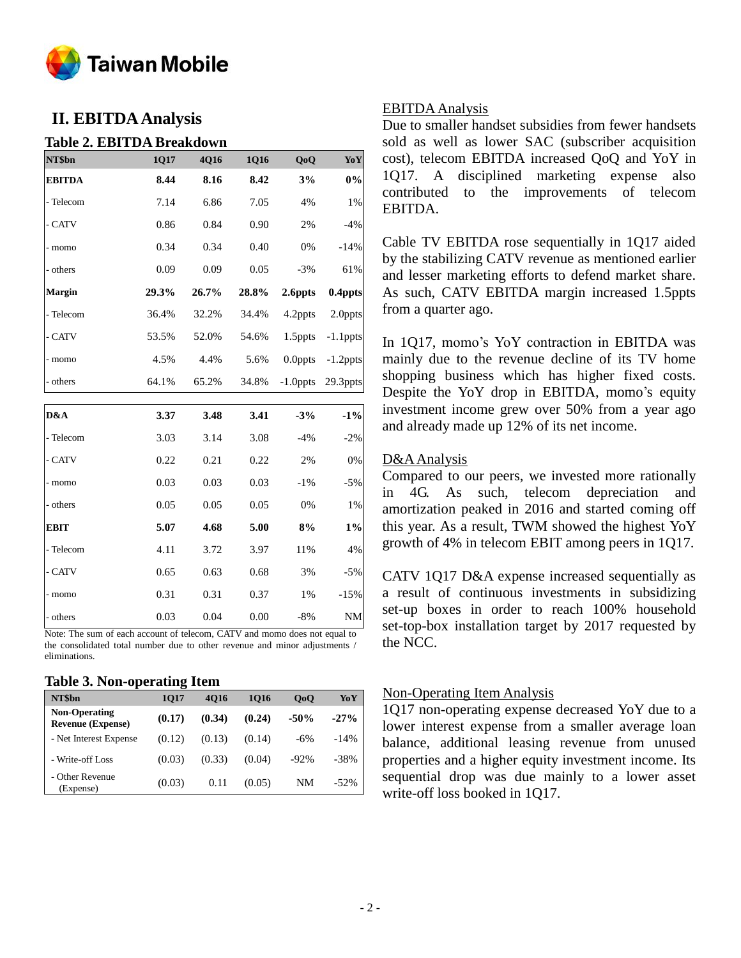

# **II. EBITDA Analysis**

### **Table 2. EBITDA Breakdown**

| NT\$bn        | 1Q17  | 4Q16  | 1Q16  | QoQ         | YoY         |
|---------------|-------|-------|-------|-------------|-------------|
| <b>EBITDA</b> | 8.44  | 8.16  | 8.42  | 3%          | $0\%$       |
| - Telecom     | 7.14  | 6.86  | 7.05  | 4%          | 1%          |
| - CATV        | 0.86  | 0.84  | 0.90  | 2%          | $-4%$       |
| - momo        | 0.34  | 0.34  | 0.40  | 0%          | $-14%$      |
| - others      | 0.09  | 0.09  | 0.05  | $-3%$       | 61%         |
| Margin        | 29.3% | 26.7% | 28.8% | 2.6ppts     | 0.4ppts     |
| - Telecom     | 36.4% | 32.2% | 34.4% | 4.2ppts     | 2.0ppts     |
| - CATV        | 53.5% | 52.0% | 54.6% | 1.5ppts     | $-1.1$ ppts |
| - momo        | 4.5%  | 4.4%  | 5.6%  | $0.0$ ppts  | $-1.2$ ppts |
| - others      | 64.1% | 65.2% | 34.8% | $-1.0$ ppts | 29.3ppts    |
|               |       |       |       |             |             |
| D&A           | 3.37  | 3.48  | 3.41  | $-3%$       | $-1\%$      |
| - Telecom     | 3.03  | 3.14  | 3.08  | $-4%$       | $-2%$       |
| - CATV        | 0.22  | 0.21  | 0.22  | 2%          | 0%          |
| - momo        | 0.03  | 0.03  | 0.03  | $-1\%$      | $-5%$       |
| - others      | 0.05  | 0.05  | 0.05  | 0%          | 1%          |
| <b>EBIT</b>   | 5.07  | 4.68  | 5.00  | 8%          | $1\%$       |
| - Telecom     | 4.11  | 3.72  | 3.97  | 11%         | 4%          |
| - CATV        | 0.65  | 0.63  | 0.68  | 3%          | $-5%$       |
| - momo        | 0.31  | 0.31  | 0.37  | 1%          | $-15%$      |
| - others      | 0.03  | 0.04  | 0.00  | $-8%$       | NM          |

Note: The sum of each account of telecom, CATV and momo does not equal to the consolidated total number due to other revenue and minor adjustments / eliminations.

#### **Table 3. Non-operating Item**

| NT\$bn                                           | 1017   | 4016   | 1016   | 0 <sub>0</sub> | YoY     |
|--------------------------------------------------|--------|--------|--------|----------------|---------|
| <b>Non-Operating</b><br><b>Revenue (Expense)</b> | (0.17) | (0.34) | (0.24) | $-50%$         | $-27%$  |
| - Net Interest Expense                           | (0.12) | (0.13) | (0.14) | $-6%$          | $-14%$  |
| - Write-off Loss                                 | (0.03) | (0.33) | (0.04) | $-92%$         | $-38%$  |
| - Other Revenue<br>(Expense)                     | (0.03) | 0.11   | (0.05) | NM             | $-52\%$ |

### EBITDA Analysis

Due to smaller handset subsidies from fewer handsets sold as well as lower SAC (subscriber acquisition cost), telecom EBITDA increased QoQ and YoY in 1Q17. A disciplined marketing expense also contributed to the improvements of telecom EBITDA.

Cable TV EBITDA rose sequentially in 1Q17 aided by the stabilizing CATV revenue as mentioned earlier and lesser marketing efforts to defend market share. As such, CATV EBITDA margin increased 1.5ppts from a quarter ago.

In 1Q17, momo's YoY contraction in EBITDA was mainly due to the revenue decline of its TV home shopping business which has higher fixed costs. Despite the YoY drop in EBITDA, momo's equity investment income grew over 50% from a year ago and already made up 12% of its net income.

# D&AAnalysis

Compared to our peers, we invested more rationally in 4G. As such, telecom depreciation and amortization peaked in 2016 and started coming off this year. As a result, TWM showed the highest YoY growth of 4% in telecom EBIT among peers in 1Q17.

CATV 1Q17 D&A expense increased sequentially as a result of continuous investments in subsidizing set-up boxes in order to reach 100% household set-top-box installation target by 2017 requested by the NCC.

### Non-Operating Item Analysis

1Q17 non-operating expense decreased YoY due to a lower interest expense from a smaller average loan balance, additional leasing revenue from unused properties and a higher equity investment income. Its sequential drop was due mainly to a lower asset write-off loss booked in 1Q17.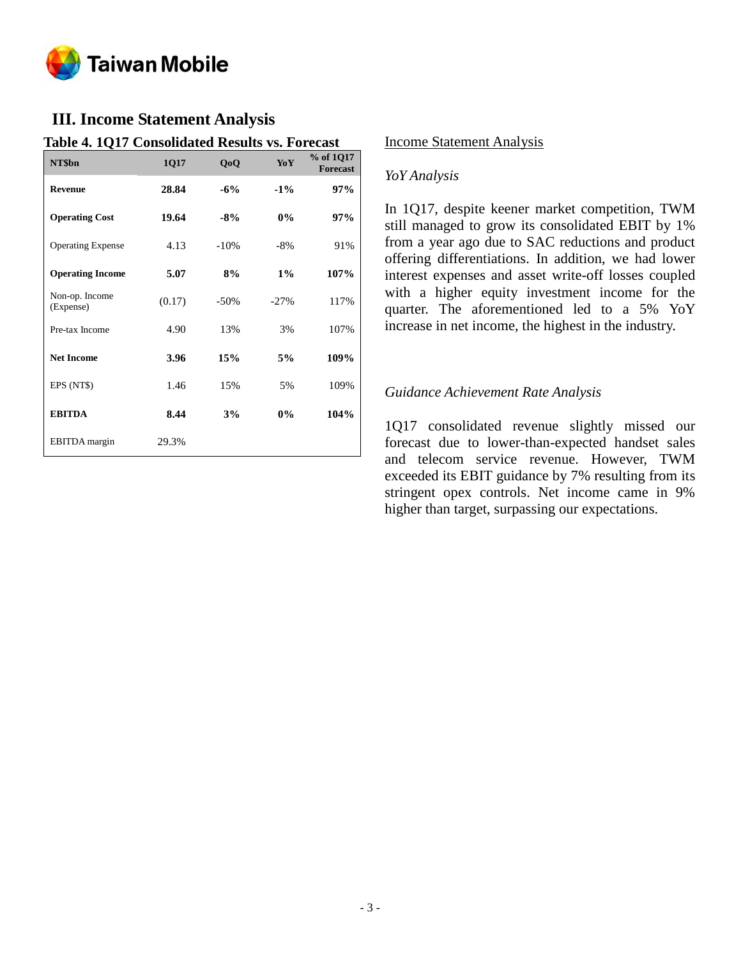

# **III. Income Statement Analysis**

### **Table 4. 1Q17 Consolidated Results vs. Forecast**

| NT\$bn                      | 1Q17   | QoQ     | <b>Yo Y</b> | % of 1Q17<br><b>Forecast</b> |
|-----------------------------|--------|---------|-------------|------------------------------|
| <b>Revenue</b>              | 28.84  | $-6%$   | $-1\%$      | 97%                          |
| <b>Operating Cost</b>       | 19.64  | $-8%$   | 0%          | 97%                          |
| <b>Operating Expense</b>    | 4.13   | $-10\%$ | $-8%$       | 91%                          |
| <b>Operating Income</b>     | 5.07   | 8%      | $1\%$       | 107%                         |
| Non-op. Income<br>(Expense) | (0.17) | $-50\%$ | $-27%$      | 117%                         |
| Pre-tax Income              | 4.90   | 13%     | 3%          | 107%                         |
| <b>Net Income</b>           | 3.96   | 15%     | 5%          | 109%                         |
| EPS (NT\$)                  | 1.46   | 15%     | 5%          | 109%                         |
| <b>EBITDA</b>               | 8.44   | 3%      | $0\%$       | 104%                         |
| <b>EBITDA</b> margin        | 29.3%  |         |             |                              |

### Income Statement Analysis

#### *YoY Analysis*

In 1Q17, despite keener market competition, TWM still managed to grow its consolidated EBIT by 1% from a year ago due to SAC reductions and product offering differentiations. In addition, we had lower interest expenses and asset write-off losses coupled with a higher equity investment income for the quarter. The aforementioned led to a 5% YoY increase in net income, the highest in the industry.

### *Guidance Achievement Rate Analysis*

1Q17 consolidated revenue slightly missed our forecast due to lower-than-expected handset sales and telecom service revenue. However, TWM exceeded its EBIT guidance by 7% resulting from its stringent opex controls. Net income came in 9% higher than target, surpassing our expectations.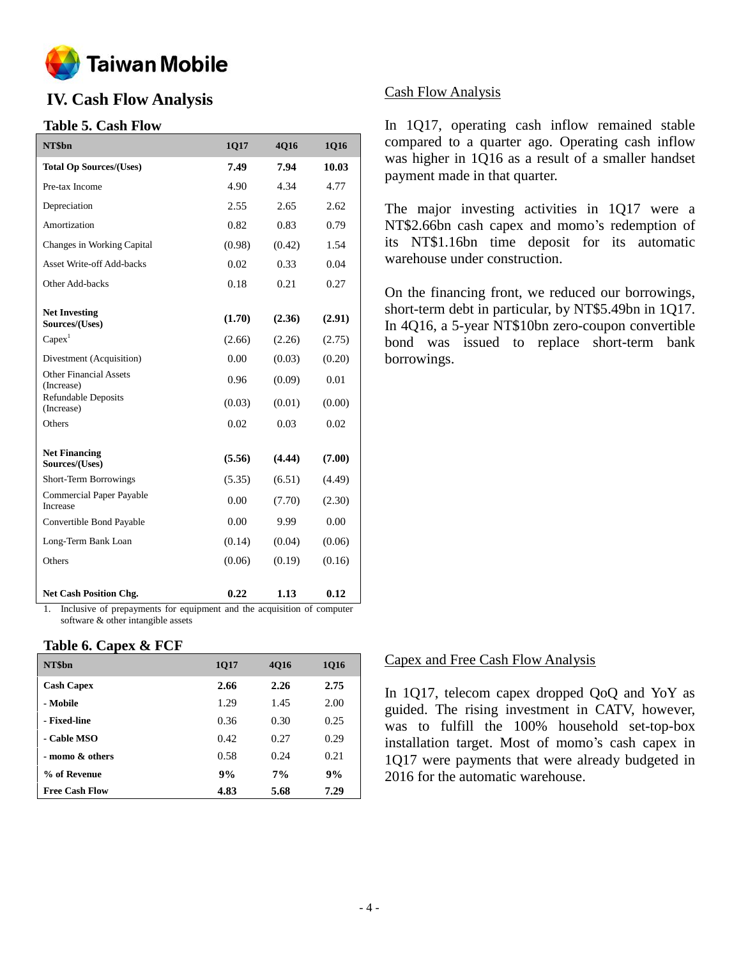

# **IV. Cash Flow Analysis**

# **Table 5. Cash Flow**

| NT\$bn                                      | 1Q17   | 4Q16   | 1Q16   |
|---------------------------------------------|--------|--------|--------|
| <b>Total Op Sources/(Uses)</b>              | 7.49   | 7.94   | 10.03  |
| Pre-tax Income                              | 4.90   | 4.34   | 4.77   |
| Depreciation                                | 2.55   | 2.65   | 2.62   |
| Amortization                                | 0.82   | 0.83   | 0.79   |
| Changes in Working Capital                  | (0.98) | (0.42) | 1.54   |
| <b>Asset Write-off Add-backs</b>            | 0.02   | 0.33   | 0.04   |
| Other Add-backs                             | 0.18   | 0.21   | 0.27   |
| <b>Net Investing</b><br>Sources/(Uses)      | (1.70) | (2.36) | (2.91) |
| Capex <sup>1</sup>                          | (2.66) | (2.26) | (2.75) |
| Divestment (Acquisition)                    | 0.00   | (0.03) | (0.20) |
| <b>Other Financial Assets</b><br>(Increase) | 0.96   | (0.09) | 0.01   |
| Refundable Deposits<br>(Increase)           | (0.03) | (0.01) | (0.00) |
| Others                                      | 0.02   | 0.03   | 0.02   |
| <b>Net Financing</b><br>Sources/(Uses)      | (5.56) | (4.44) | (7.00) |
| Short-Term Borrowings                       | (5.35) | (6.51) | (4.49) |
| Commercial Paper Payable<br>Increase        | 0.00   | (7.70) | (2.30) |
| Convertible Bond Payable                    | 0.00   | 9.99   | 0.00   |
| Long-Term Bank Loan                         | (0.14) | (0.04) | (0.06) |
| Others                                      | (0.06) | (0.19) | (0.16) |
| <b>Net Cash Position Chg.</b>               | 0.22   | 1.13   | 0.12   |

1. Inclusive of prepayments for equipment and the acquisition of computer software & other intangible assets

# **Table 6. Capex & FCF**

| NT\$bn                | 1Q17 | 4016 | <b>1Q16</b> |
|-----------------------|------|------|-------------|
| <b>Cash Capex</b>     | 2.66 | 2.26 | 2.75        |
| - Mobile              | 1.29 | 1.45 | 2.00        |
| - Fixed-line          | 0.36 | 0.30 | 0.25        |
| - Cable MSO           | 0.42 | 0.27 | 0.29        |
| - momo & others       | 0.58 | 0.24 | 0.21        |
| % of Revenue          | 9%   | 7%   | 9%          |
| <b>Free Cash Flow</b> | 4.83 | 5.68 | 7.29        |

# Cash Flow Analysis

In 1Q17, operating cash inflow remained stable compared to a quarter ago. Operating cash inflow was higher in 1Q16 as a result of a smaller handset payment made in that quarter.

The major investing activities in 1Q17 were a NT\$2.66bn cash capex and momo's redemption of its NT\$1.16bn time deposit for its automatic warehouse under construction.

On the financing front, we reduced our borrowings, short-term debt in particular, by NT\$5.49bn in 1Q17. In 4Q16, a 5-year NT\$10bn zero-coupon convertible bond was issued to replace short-term bank borrowings.

### Capex and Free Cash Flow Analysis

In 1Q17, telecom capex dropped QoQ and YoY as guided. The rising investment in CATV, however, was to fulfill the 100% household set-top-box installation target. Most of momo's cash capex in 1Q17 were payments that were already budgeted in 2016 for the automatic warehouse.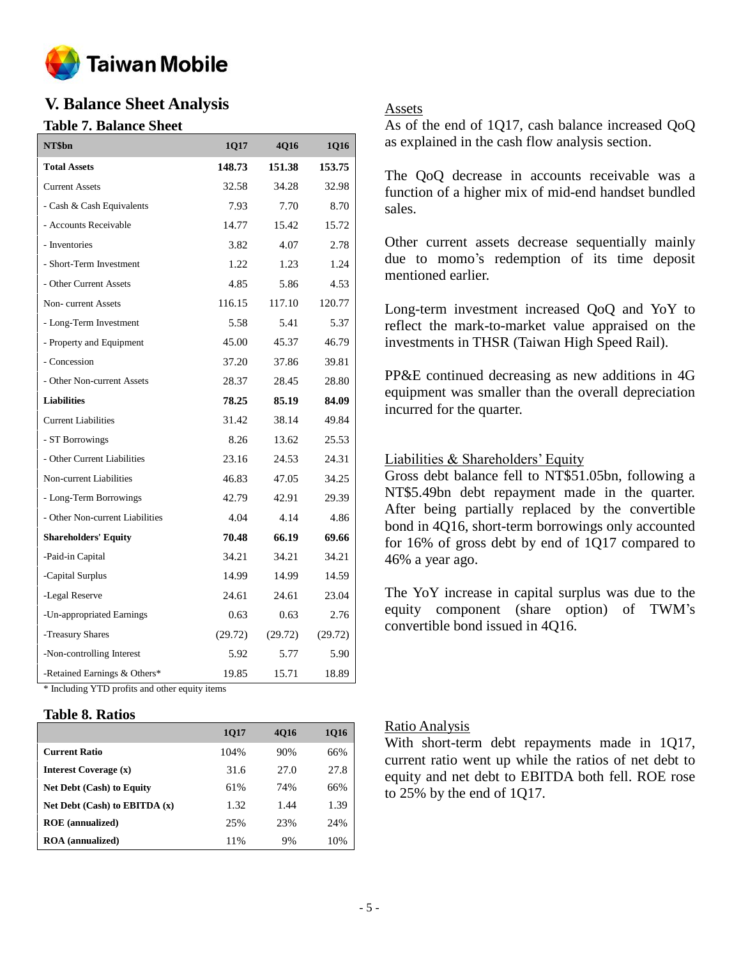

# **V. Balance Sheet Analysis**

# **Table 7. Balance Sheet**

| NT\$bn                                         | 1Q17    | 4Q16    | 1Q16    |
|------------------------------------------------|---------|---------|---------|
| <b>Total Assets</b>                            | 148.73  | 151.38  | 153.75  |
| <b>Current Assets</b>                          | 32.58   | 34.28   | 32.98   |
| - Cash & Cash Equivalents                      | 7.93    | 7.70    | 8.70    |
| - Accounts Receivable                          | 14.77   | 15.42   | 15.72   |
| - Inventories                                  | 3.82    | 4.07    | 2.78    |
| - Short-Term Investment                        | 1.22    | 1.23    | 1.24    |
| - Other Current Assets                         | 4.85    | 5.86    | 4.53    |
| Non-current Assets                             | 116.15  | 117.10  | 120.77  |
| - Long-Term Investment                         | 5.58    | 5.41    | 5.37    |
| - Property and Equipment                       | 45.00   | 45.37   | 46.79   |
| - Concession                                   | 37.20   | 37.86   | 39.81   |
| - Other Non-current Assets                     | 28.37   | 28.45   | 28.80   |
| <b>Liabilities</b>                             | 78.25   | 85.19   | 84.09   |
| <b>Current Liabilities</b>                     | 31.42   | 38.14   | 49.84   |
| - ST Borrowings                                | 8.26    | 13.62   | 25.53   |
| - Other Current Liabilities                    | 23.16   | 24.53   | 24.31   |
| Non-current Liabilities                        | 46.83   | 47.05   | 34.25   |
| - Long-Term Borrowings                         | 42.79   | 42.91   | 29.39   |
| - Other Non-current Liabilities                | 4.04    | 4.14    | 4.86    |
| <b>Shareholders' Equity</b>                    | 70.48   | 66.19   | 69.66   |
| -Paid-in Capital                               | 34.21   | 34.21   | 34.21   |
| -Capital Surplus                               | 14.99   | 14.99   | 14.59   |
| -Legal Reserve                                 | 24.61   | 24.61   | 23.04   |
| -Un-appropriated Earnings                      | 0.63    | 0.63    | 2.76    |
| -Treasury Shares                               | (29.72) | (29.72) | (29.72) |
| -Non-controlling Interest                      | 5.92    | 5.77    | 5.90    |
| -Retained Earnings & Others*                   | 19.85   | 15.71   | 18.89   |
| * Including YTD profits and other equity items |         |         |         |

# **Table 8. Ratios**

|                                   | 1017 | 4016 | 1016 |
|-----------------------------------|------|------|------|
| <b>Current Ratio</b>              | 104% | 90%  | 66%  |
| <b>Interest Coverage (x)</b>      | 31.6 | 27.0 | 27.8 |
| <b>Net Debt (Cash) to Equity</b>  | 61%  | 74%  | 66%  |
| Net Debt $(Cash)$ to EBITDA $(x)$ | 1.32 | 1.44 | 1.39 |
| <b>ROE</b> (annualized)           | 25%  | 23%  | 24%  |
| <b>ROA</b> (annualized)           | 11%  | 9%   | 10%  |

# Assets

As of the end of 1Q17, cash balance increased QoQ as explained in the cash flow analysis section.

The QoQ decrease in accounts receivable was a function of a higher mix of mid-end handset bundled sales.

Other current assets decrease sequentially mainly due to momo's redemption of its time deposit mentioned earlier.

Long-term investment increased QoQ and YoY to reflect the mark-to-market value appraised on the investments in THSR (Taiwan High Speed Rail).

PP&E continued decreasing as new additions in 4G equipment was smaller than the overall depreciation incurred for the quarter.

# Liabilities & Shareholders' Equity

Gross debt balance fell to NT\$51.05bn, following a NT\$5.49bn debt repayment made in the quarter. After being partially replaced by the convertible bond in 4Q16, short-term borrowings only accounted for 16% of gross debt by end of 1Q17 compared to 46% a year ago.

The YoY increase in capital surplus was due to the equity component (share option) of TWM's convertible bond issued in 4Q16.

# Ratio Analysis

With short-term debt repayments made in 1Q17, current ratio went up while the ratios of net debt to equity and net debt to EBITDA both fell. ROE rose to 25% by the end of 1Q17.